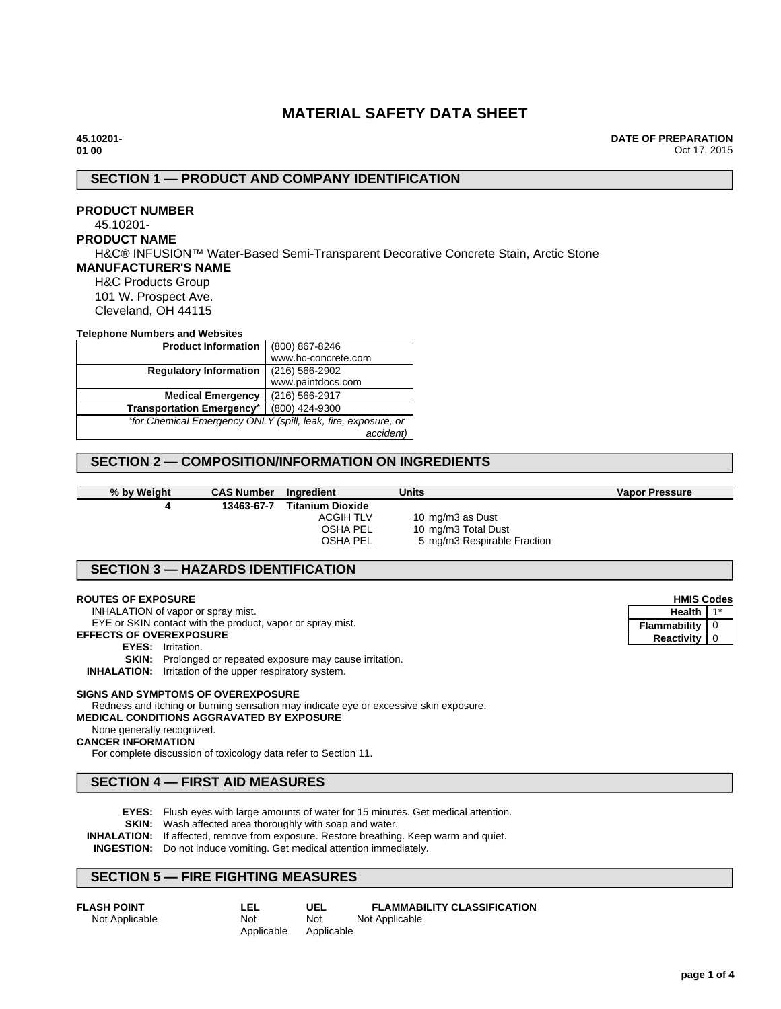# **MATERIAL SAFETY DATA SHEET**

**45.10201- 01 00**

**DATE OF PREPARATION** Oct 17, 2015

# **SECTION 1 — PRODUCT AND COMPANY IDENTIFICATION**

# **PRODUCT NUMBER**

#### 45.10201- **PRODUCT NAME**

H&C® INFUSION™ Water-Based Semi-Transparent Decorative Concrete Stain, Arctic Stone

### **MANUFACTURER'S NAME**

H&C Products Group 101 W. Prospect Ave. Cleveland, OH 44115

#### **Telephone Numbers and Websites**

| <b>Product Information</b>                          | (800) 867-8246                                                |  |
|-----------------------------------------------------|---------------------------------------------------------------|--|
|                                                     | www.hc-concrete.com                                           |  |
| $(216) 566 - 2902$<br><b>Regulatory Information</b> |                                                               |  |
|                                                     | www.paintdocs.com                                             |  |
| <b>Medical Emergency</b>                            | (216) 566-2917                                                |  |
| <b>Transportation Emergency*</b>                    | (800) 424-9300                                                |  |
|                                                     | *for Chemical Emergency ONLY (spill, leak, fire, exposure, or |  |
|                                                     | accident)                                                     |  |

## **SECTION 2 — COMPOSITION/INFORMATION ON INGREDIENTS**

**% by Weight CAS Number Ingredient Units Vapor Pressure 4 13463-67-7 Titanium Dioxide**

ACGIH TLV 10 mg/m3 as Dust<br>OSHA PEL 10 mg/m3 Total Du 10 mg/m3 Total Dust OSHA PEL 5 mg/m3 Respirable Fraction

### **SECTION 3 — HAZARDS IDENTIFICATION**

#### **ROUTES OF EXPOSURE**

INHALATION of vapor or spray mist.

EYE or SKIN contact with the product, vapor or spray mist.

**EFFECTS OF OVEREXPOSURE**

#### **EYES:** Irritation.

**SKIN:** Prolonged or repeated exposure may cause irritation.

**INHALATION:** Irritation of the upper respiratory system.

#### **SIGNS AND SYMPTOMS OF OVEREXPOSURE**

Redness and itching or burning sensation may indicate eye or excessive skin exposure.

# **MEDICAL CONDITIONS AGGRAVATED BY EXPOSURE**

#### None generally recognized. **CANCER INFORMATION**

For complete discussion of toxicology data refer to Section 11.

## **SECTION 4 — FIRST AID MEASURES**

- **EYES:** Flush eyes with large amounts of water for 15 minutes. Get medical attention.
- **SKIN:** Wash affected area thoroughly with soap and water.
- **INHALATION:** If affected, remove from exposure. Restore breathing. Keep warm and quiet.
- **INGESTION:** Do not induce vomiting. Get medical attention immediately.

### **SECTION 5 — FIRE FIGHTING MEASURES**

| <b>FLASH POINT</b> | LEL        | UEL        | <b>FLAMMABILITY CLASSIFICATION</b> |
|--------------------|------------|------------|------------------------------------|
| Not Applicable     | Not        | Not        | Not Applicable                     |
|                    | Applicable | Applicable |                                    |

| <b>HMIS Codes</b> |  |
|-------------------|--|
| Health            |  |
| Flammability      |  |
| <b>Reactivity</b> |  |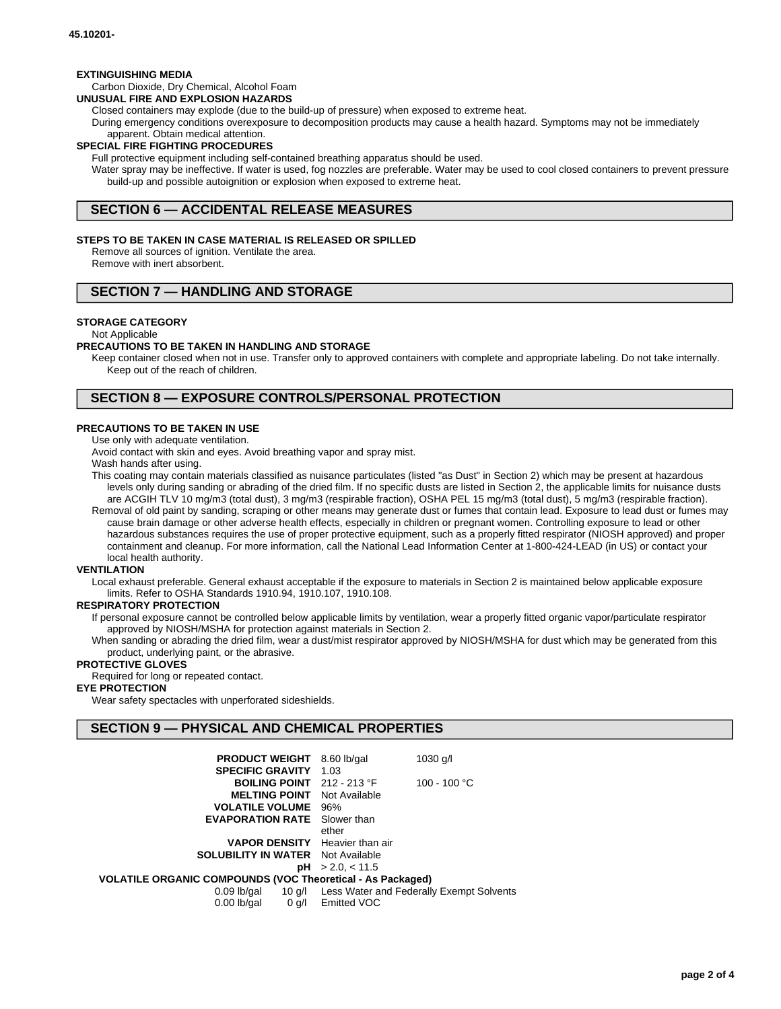#### **EXTINGUISHING MEDIA**

### Carbon Dioxide, Dry Chemical, Alcohol Foam

**UNUSUAL FIRE AND EXPLOSION HAZARDS**

Closed containers may explode (due to the build-up of pressure) when exposed to extreme heat.

During emergency conditions overexposure to decomposition products may cause a health hazard. Symptoms may not be immediately apparent. Obtain medical attention.

#### **SPECIAL FIRE FIGHTING PROCEDURES**

Full protective equipment including self-contained breathing apparatus should be used.

Water spray may be ineffective. If water is used, fog nozzles are preferable. Water may be used to cool closed containers to prevent pressure build-up and possible autoignition or explosion when exposed to extreme heat.

## **SECTION 6 — ACCIDENTAL RELEASE MEASURES**

#### **STEPS TO BE TAKEN IN CASE MATERIAL IS RELEASED OR SPILLED**

Remove all sources of ignition. Ventilate the area. Remove with inert absorbent.

### **SECTION 7 — HANDLING AND STORAGE**

#### **STORAGE CATEGORY**

Not Applicable

#### **PRECAUTIONS TO BE TAKEN IN HANDLING AND STORAGE**

Keep container closed when not in use. Transfer only to approved containers with complete and appropriate labeling. Do not take internally. Keep out of the reach of children.

### **SECTION 8 — EXPOSURE CONTROLS/PERSONAL PROTECTION**

#### **PRECAUTIONS TO BE TAKEN IN USE**

Use only with adequate ventilation.

Avoid contact with skin and eyes. Avoid breathing vapor and spray mist.

Wash hands after using.

This coating may contain materials classified as nuisance particulates (listed "as Dust" in Section 2) which may be present at hazardous levels only during sanding or abrading of the dried film. If no specific dusts are listed in Section 2, the applicable limits for nuisance dusts are ACGIH TLV 10 mg/m3 (total dust), 3 mg/m3 (respirable fraction), OSHA PEL 15 mg/m3 (total dust), 5 mg/m3 (respirable fraction).

Removal of old paint by sanding, scraping or other means may generate dust or fumes that contain lead. Exposure to lead dust or fumes may cause brain damage or other adverse health effects, especially in children or pregnant women. Controlling exposure to lead or other hazardous substances requires the use of proper protective equipment, such as a properly fitted respirator (NIOSH approved) and proper containment and cleanup. For more information, call the National Lead Information Center at 1-800-424-LEAD (in US) or contact your local health authority.

#### **VENTILATION**

Local exhaust preferable. General exhaust acceptable if the exposure to materials in Section 2 is maintained below applicable exposure limits. Refer to OSHA Standards 1910.94, 1910.107, 1910.108.

#### **RESPIRATORY PROTECTION**

If personal exposure cannot be controlled below applicable limits by ventilation, wear a properly fitted organic vapor/particulate respirator approved by NIOSH/MSHA for protection against materials in Section 2.

When sanding or abrading the dried film, wear a dust/mist respirator approved by NIOSH/MSHA for dust which may be generated from this product, underlying paint, or the abrasive.

### **PROTECTIVE GLOVES**

Required for long or repeated contact.

### **EYE PROTECTION**

Wear safety spectacles with unperforated sideshields.

### **SECTION 9 — PHYSICAL AND CHEMICAL PROPERTIES**

| <b>PRODUCT WEIGHT</b><br>$1030$ g/l<br>8.60 lb/gal                |  |  |  |  |
|-------------------------------------------------------------------|--|--|--|--|
| 1.03                                                              |  |  |  |  |
| 100 - 100 °C<br><b>BOILING POINT</b> $212 - 213$ °F               |  |  |  |  |
| Not Available                                                     |  |  |  |  |
| 96%                                                               |  |  |  |  |
| <b>EVAPORATION RATE</b> Slower than                               |  |  |  |  |
| ether                                                             |  |  |  |  |
| <b>VAPOR DENSITY</b> Heavier than air                             |  |  |  |  |
| <b>SOLUBILITY IN WATER</b> Not Available                          |  |  |  |  |
| pH > 2.0, < 11.5                                                  |  |  |  |  |
| <b>VOLATILE ORGANIC COMPOUNDS (VOC Theoretical - As Packaged)</b> |  |  |  |  |
| Less Water and Federally Exempt Solvents                          |  |  |  |  |
| 0 g/l Emitted VOC                                                 |  |  |  |  |
|                                                                   |  |  |  |  |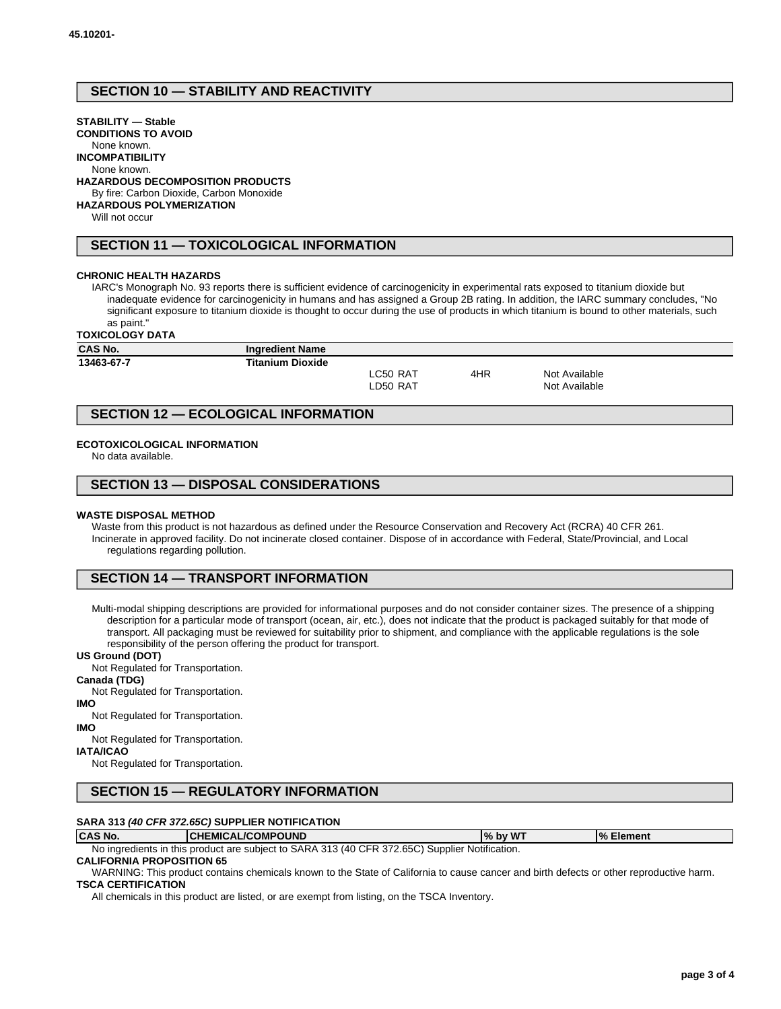# **SECTION 10 — STABILITY AND REACTIVITY**

### **STABILITY — Stable**

**CONDITIONS TO AVOID** None known.

**INCOMPATIBILITY**

None known.

#### **HAZARDOUS DECOMPOSITION PRODUCTS**

By fire: Carbon Dioxide, Carbon Monoxide

**HAZARDOUS POLYMERIZATION**

Will not occur

### **SECTION 11 — TOXICOLOGICAL INFORMATION**

#### **CHRONIC HEALTH HAZARDS**

IARC's Monograph No. 93 reports there is sufficient evidence of carcinogenicity in experimental rats exposed to titanium dioxide but inadequate evidence for carcinogenicity in humans and has assigned a Group 2B rating. In addition, the IARC summary concludes, "No significant exposure to titanium dioxide is thought to occur during the use of products in which titanium is bound to other materials, such as paint."

**TOXICOLOGY DATA**

| 19A1996991 PAIA |                         |          |     |               |  |
|-----------------|-------------------------|----------|-----|---------------|--|
| <b>CAS No.</b>  | <b>Ingredient Name</b>  |          |     |               |  |
| 13463-67-7      | <b>Titanium Dioxide</b> |          |     |               |  |
|                 |                         | LC50 RAT | 4HR | Not Available |  |
|                 |                         | LD50 RAT |     | Not Available |  |
|                 |                         |          |     |               |  |

## **SECTION 12 — ECOLOGICAL INFORMATION**

#### **ECOTOXICOLOGICAL INFORMATION**

No data available.

### **SECTION 13 — DISPOSAL CONSIDERATIONS**

#### **WASTE DISPOSAL METHOD**

Waste from this product is not hazardous as defined under the Resource Conservation and Recovery Act (RCRA) 40 CFR 261. Incinerate in approved facility. Do not incinerate closed container. Dispose of in accordance with Federal, State/Provincial, and Local regulations regarding pollution.

### **SECTION 14 — TRANSPORT INFORMATION**

Multi-modal shipping descriptions are provided for informational purposes and do not consider container sizes. The presence of a shipping description for a particular mode of transport (ocean, air, etc.), does not indicate that the product is packaged suitably for that mode of transport. All packaging must be reviewed for suitability prior to shipment, and compliance with the applicable regulations is the sole responsibility of the person offering the product for transport.

#### **US Ground (DOT)**

Not Regulated for Transportation.

#### **Canada (TDG)**

Not Regulated for Transportation.

**IMO**

Not Regulated for Transportation.

**IMO**

Not Regulated for Transportation. **IATA/ICAO**

Not Regulated for Transportation.

# **SECTION 15 — REGULATORY INFORMATION**

#### **SARA 313 (40 CFR 372.65C) SUPPLIER NOTIFICATION**

**CAS No. CHEMICAL/COMPOUND % by WT % Element** No ingredients in this product are subject to SARA 313 (40 CFR 372.65C) Supplier Notification.

### **CALIFORNIA PROPOSITION 65**

WARNING: This product contains chemicals known to the State of California to cause cancer and birth defects or other reproductive harm. **TSCA CERTIFICATION**

All chemicals in this product are listed, or are exempt from listing, on the TSCA Inventory.